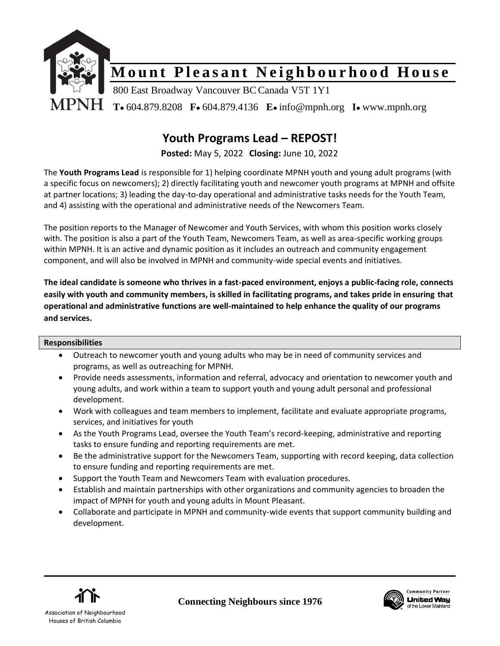

### **Youth Programs Lead – REPOST!**

**Posted:** May 5, 2022 **Closing:** June 10, 2022

The **Youth Programs Lead** is responsible for 1) helping coordinate MPNH youth and young adult programs (with a specific focus on newcomers); 2) directly facilitating youth and newcomer youth programs at MPNH and offsite at partner locations; 3) leading the day-to-day operational and administrative tasks needs for the Youth Team, and 4) assisting with the operational and administrative needs of the Newcomers Team.

The position reports to the Manager of Newcomer and Youth Services, with whom this position works closely with. The position is also a part of the Youth Team, Newcomers Team, as well as area-specific working groups within MPNH. It is an active and dynamic position as it includes an outreach and community engagement component, and will also be involved in MPNH and community-wide special events and initiatives.

**The ideal candidate is someone who thrives in a fast-paced environment, enjoys a public-facing role, connects easily with youth and community members, is skilled in facilitating programs, and takes pride in ensuring that operational and administrative functions are well-maintained to help enhance the quality of our programs and services.**

#### **Responsibilities**

- Outreach to newcomer youth and young adults who may be in need of community services and programs, as well as outreaching for MPNH.
- Provide needs assessments, information and referral, advocacy and orientation to newcomer youth and young adults, and work within a team to support youth and young adult personal and professional development.
- Work with colleagues and team members to implement, facilitate and evaluate appropriate programs, services, and initiatives for youth
- As the Youth Programs Lead, oversee the Youth Team's record-keeping, administrative and reporting tasks to ensure funding and reporting requirements are met.
- Be the administrative support for the Newcomers Team, supporting with record keeping, data collection to ensure funding and reporting requirements are met.
- Support the Youth Team and Newcomers Team with evaluation procedures.
- Establish and maintain partnerships with other organizations and community agencies to broaden the impact of MPNH for youth and young adults in Mount Pleasant.
- Collaborate and participate in MPNH and community-wide events that support community building and development.